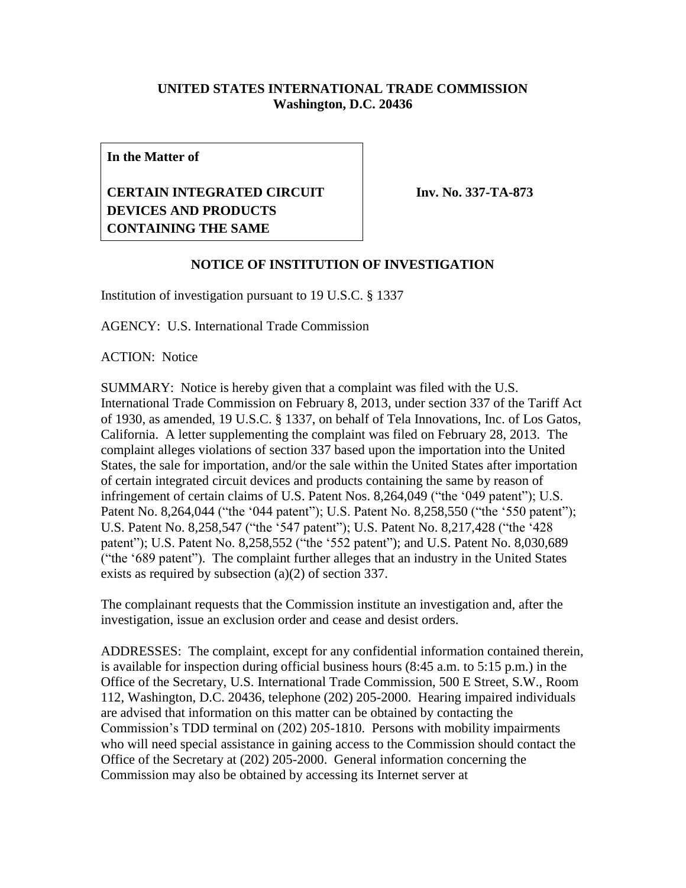## **UNITED STATES INTERNATIONAL TRADE COMMISSION Washington, D.C. 20436**

**In the Matter of**

## **CERTAIN INTEGRATED CIRCUIT DEVICES AND PRODUCTS CONTAINING THE SAME**

**Inv. No. 337-TA-873**

## **NOTICE OF INSTITUTION OF INVESTIGATION**

Institution of investigation pursuant to 19 U.S.C. § 1337

AGENCY: U.S. International Trade Commission

ACTION: Notice

SUMMARY: Notice is hereby given that a complaint was filed with the U.S. International Trade Commission on February 8, 2013, under section 337 of the Tariff Act of 1930, as amended, 19 U.S.C. § 1337, on behalf of Tela Innovations, Inc. of Los Gatos, California. A letter supplementing the complaint was filed on February 28, 2013. The complaint alleges violations of section 337 based upon the importation into the United States, the sale for importation, and/or the sale within the United States after importation of certain integrated circuit devices and products containing the same by reason of infringement of certain claims of U.S. Patent Nos. 8,264,049 ("the '049 patent"); U.S. Patent No. 8,264,044 ("the '044 patent"); U.S. Patent No. 8,258,550 ("the '550 patent"); U.S. Patent No. 8,258,547 ("the '547 patent"); U.S. Patent No. 8,217,428 ("the '428 patent"); U.S. Patent No. 8,258,552 ("the '552 patent"); and U.S. Patent No. 8,030,689 ("the '689 patent"). The complaint further alleges that an industry in the United States exists as required by subsection (a)(2) of section 337.

The complainant requests that the Commission institute an investigation and, after the investigation, issue an exclusion order and cease and desist orders.

ADDRESSES: The complaint, except for any confidential information contained therein, is available for inspection during official business hours (8:45 a.m. to 5:15 p.m.) in the Office of the Secretary, U.S. International Trade Commission, 500 E Street, S.W., Room 112, Washington, D.C. 20436, telephone (202) 205-2000. Hearing impaired individuals are advised that information on this matter can be obtained by contacting the Commission's TDD terminal on (202) 205-1810. Persons with mobility impairments who will need special assistance in gaining access to the Commission should contact the Office of the Secretary at (202) 205-2000. General information concerning the Commission may also be obtained by accessing its Internet server at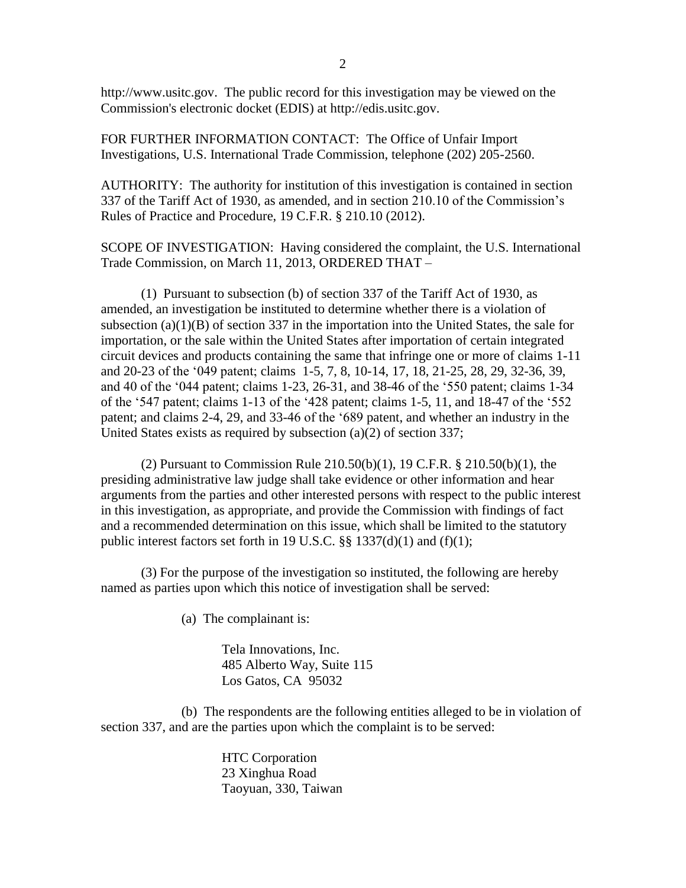http://www.usitc.gov. The public record for this investigation may be viewed on the Commission's electronic docket (EDIS) at http://edis.usitc.gov.

FOR FURTHER INFORMATION CONTACT: The Office of Unfair Import Investigations, U.S. International Trade Commission, telephone (202) 205-2560.

AUTHORITY: The authority for institution of this investigation is contained in section 337 of the Tariff Act of 1930, as amended, and in section 210.10 of the Commission's Rules of Practice and Procedure, 19 C.F.R. § 210.10 (2012).

SCOPE OF INVESTIGATION: Having considered the complaint, the U.S. International Trade Commission, on March 11, 2013, ORDERED THAT –

(1) Pursuant to subsection (b) of section 337 of the Tariff Act of 1930, as amended, an investigation be instituted to determine whether there is a violation of subsection (a) $(1)(B)$  of section 337 in the importation into the United States, the sale for importation, or the sale within the United States after importation of certain integrated circuit devices and products containing the same that infringe one or more of claims 1-11 and 20-23 of the '049 patent; claims 1-5, 7, 8, 10-14, 17, 18, 21-25, 28, 29, 32-36, 39, and 40 of the '044 patent; claims 1-23, 26-31, and 38-46 of the '550 patent; claims 1-34 of the '547 patent; claims 1-13 of the '428 patent; claims 1-5, 11, and 18-47 of the '552 patent; and claims 2-4, 29, and 33-46 of the '689 patent, and whether an industry in the United States exists as required by subsection (a)(2) of section 337;

(2) Pursuant to Commission Rule 210.50(b)(1), 19 C.F.R. § 210.50(b)(1), the presiding administrative law judge shall take evidence or other information and hear arguments from the parties and other interested persons with respect to the public interest in this investigation, as appropriate, and provide the Commission with findings of fact and a recommended determination on this issue, which shall be limited to the statutory public interest factors set forth in 19 U.S.C.  $\S\S 1337(d)(1)$  and (f)(1);

(3) For the purpose of the investigation so instituted, the following are hereby named as parties upon which this notice of investigation shall be served:

(a) The complainant is:

Tela Innovations, Inc. 485 Alberto Way, Suite 115 Los Gatos, CA 95032

(b) The respondents are the following entities alleged to be in violation of section 337, and are the parties upon which the complaint is to be served:

> HTC Corporation 23 Xinghua Road Taoyuan, 330, Taiwan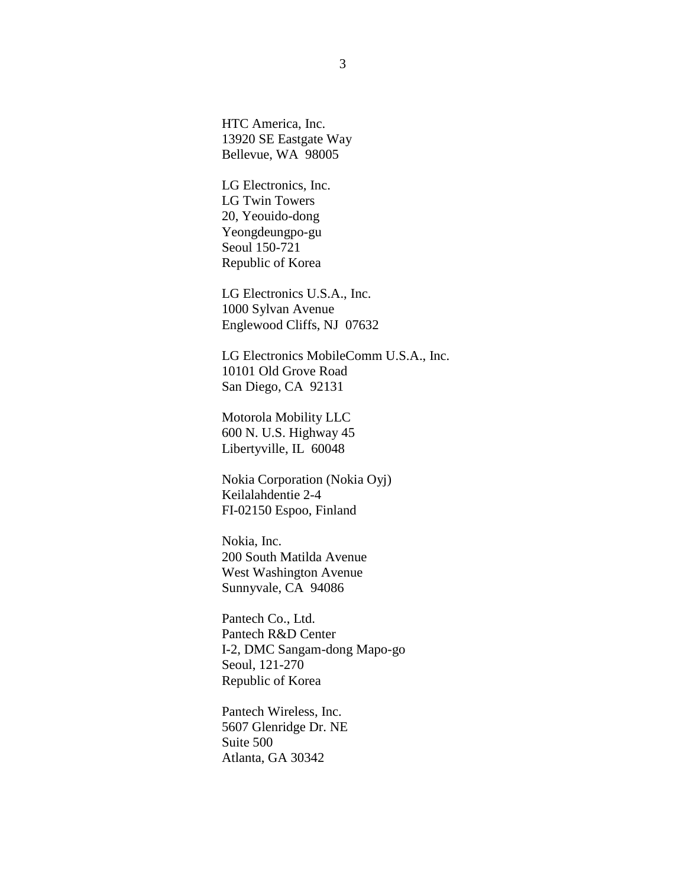HTC America, Inc. 13920 SE Eastgate Way Bellevue, WA 98005

LG Electronics, Inc. LG Twin Towers 20, Yeouido-dong Yeongdeungpo-gu Seoul 150-721 Republic of Korea

LG Electronics U.S.A., Inc. 1000 Sylvan Avenue Englewood Cliffs, NJ 07632

LG Electronics MobileComm U.S.A., Inc. 10101 Old Grove Road San Diego, CA 92131

Motorola Mobility LLC 600 N. U.S. Highway 45 Libertyville, IL 60048

Nokia Corporation (Nokia Oyj) Keilalahdentie 2-4 FI-02150 Espoo, Finland

Nokia, Inc. 200 South Matilda Avenue West Washington Avenue Sunnyvale, CA 94086

Pantech Co., Ltd. Pantech R&D Center I-2, DMC Sangam-dong Mapo-go Seoul, 121-270 Republic of Korea

Pantech Wireless, Inc. 5607 Glenridge Dr. NE Suite 500 Atlanta, GA 30342